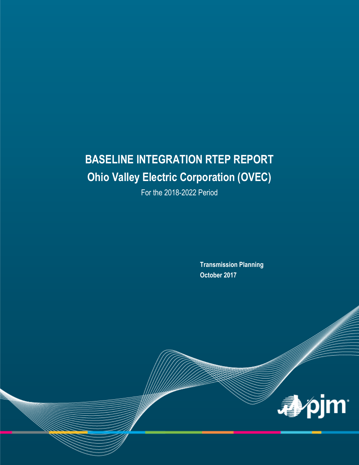# **BASELINE INTEGRATION RTEP REPORT Ohio Valley Electric Corporation (OVEC)**

For the 2018-2022 Period

**Transmission Planning October 2017**

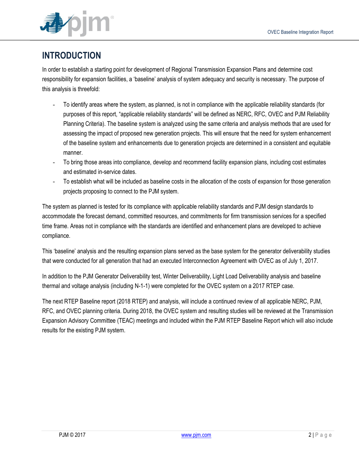

### **INTRODUCTION**

In order to establish a starting point for development of Regional Transmission Expansion Plans and determine cost responsibility for expansion facilities, a 'baseline' analysis of system adequacy and security is necessary. The purpose of this analysis is threefold:

- To identify areas where the system, as planned, is not in compliance with the applicable reliability standards (for purposes of this report, "applicable reliability standards" will be defined as NERC, RFC, OVEC and PJM Reliability Planning Criteria). The baseline system is analyzed using the same criteria and analysis methods that are used for assessing the impact of proposed new generation projects. This will ensure that the need for system enhancement of the baseline system and enhancements due to generation projects are determined in a consistent and equitable manner.
- To bring those areas into compliance, develop and recommend facility expansion plans, including cost estimates and estimated in-service dates.
- To establish what will be included as baseline costs in the allocation of the costs of expansion for those generation projects proposing to connect to the PJM system.

The system as planned is tested for its compliance with applicable reliability standards and PJM design standards to accommodate the forecast demand, committed resources, and commitments for firm transmission services for a specified time frame. Areas not in compliance with the standards are identified and enhancement plans are developed to achieve compliance.

This 'baseline' analysis and the resulting expansion plans served as the base system for the generator deliverability studies that were conducted for all generation that had an executed Interconnection Agreement with OVEC as of July 1, 2017.

In addition to the PJM Generator Deliverability test, Winter Deliverability, Light Load Deliverability analysis and baseline thermal and voltage analysis (including N-1-1) were completed for the OVEC system on a 2017 RTEP case.

The next RTEP Baseline report (2018 RTEP) and analysis, will include a continued review of all applicable NERC, PJM, RFC, and OVEC planning criteria. During 2018, the OVEC system and resulting studies will be reviewed at the Transmission Expansion Advisory Committee (TEAC) meetings and included within the PJM RTEP Baseline Report which will also include results for the existing PJM system.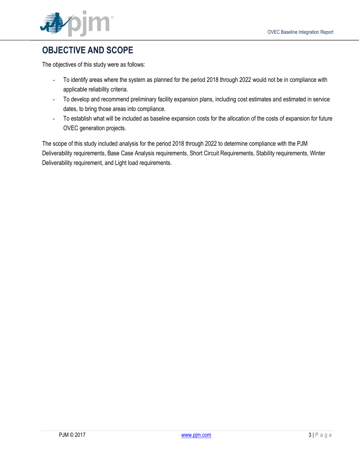

### **OBJECTIVE AND SCOPE**

The objectives of this study were as follows:

- To identify areas where the system as planned for the period 2018 through 2022 would not be in compliance with applicable reliability criteria.
- To develop and recommend preliminary facility expansion plans, including cost estimates and estimated in service dates, to bring those areas into compliance.
- To establish what will be included as baseline expansion costs for the allocation of the costs of expansion for future OVEC generation projects.

The scope of this study included analysis for the period 2018 through 2022 to determine compliance with the PJM Deliverability requirements, Base Case Analysis requirements, Short Circuit Requirements, Stability requirements, Winter Deliverability requirement, and Light load requirements.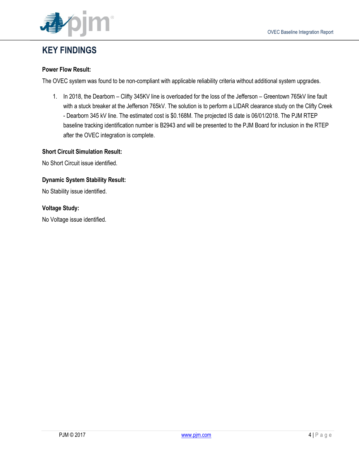

### **KEY FINDINGS**

#### **Power Flow Result:**

The OVEC system was found to be non-compliant with applicable reliability criteria without additional system upgrades.

1. In 2018, the Dearborn – Clifty 345KV line is overloaded for the loss of the Jefferson – Greentown 765kV line fault with a stuck breaker at the Jefferson 765kV. The solution is to perform a LIDAR clearance study on the Clifty Creek - Dearborn 345 kV line. The estimated cost is \$0.168M. The projected IS date is 06/01/2018. The PJM RTEP baseline tracking identification number is B2943 and will be presented to the PJM Board for inclusion in the RTEP after the OVEC integration is complete.

#### **Short Circuit Simulation Result:**

No Short Circuit issue identified.

#### **Dynamic System Stability Result:**

No Stability issue identified.

#### **Voltage Study:**

No Voltage issue identified.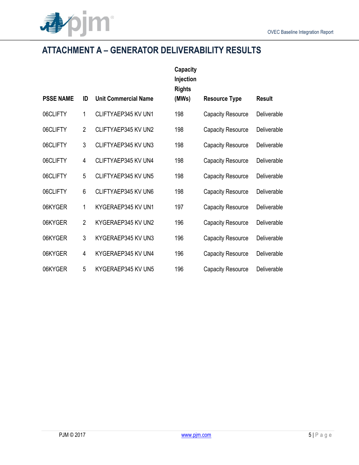

# **ATTACHMENT A – GENERATOR DELIVERABILITY RESULTS**

|                  |                |                             | <b>Capacity</b><br>Injection<br><b>Rights</b> |                          |               |
|------------------|----------------|-----------------------------|-----------------------------------------------|--------------------------|---------------|
| <b>PSSE NAME</b> | ID             | <b>Unit Commercial Name</b> | (MWs)                                         | <b>Resource Type</b>     | <b>Result</b> |
| 06CLIFTY         | 1              | CLIFTYAEP345 KV UN1         | 198                                           | <b>Capacity Resource</b> | Deliverable   |
| 06CLIFTY         | $\overline{2}$ | CLIFTYAEP345 KV UN2         | 198                                           | <b>Capacity Resource</b> | Deliverable   |
| 06CLIFTY         | 3              | CLIFTYAEP345 KV UN3         | 198                                           | <b>Capacity Resource</b> | Deliverable   |
| 06CLIFTY         | 4              | CLIFTYAEP345 KV UN4         | 198                                           | <b>Capacity Resource</b> | Deliverable   |
| 06CLIFTY         | 5              | CLIFTYAEP345 KV UN5         | 198                                           | <b>Capacity Resource</b> | Deliverable   |
| 06CLIFTY         | 6              | CLIFTYAEP345 KV UN6         | 198                                           | <b>Capacity Resource</b> | Deliverable   |
| 06KYGER          | 1              | KYGERAEP345 KV UN1          | 197                                           | <b>Capacity Resource</b> | Deliverable   |
| 06KYGER          | $\overline{2}$ | KYGERAEP345 KV UN2          | 196                                           | <b>Capacity Resource</b> | Deliverable   |
| 06KYGER          | 3              | KYGERAEP345 KV UN3          | 196                                           | <b>Capacity Resource</b> | Deliverable   |
| 06KYGER          | 4              | KYGERAEP345 KV UN4          | 196                                           | <b>Capacity Resource</b> | Deliverable   |
| 06KYGER          | 5              | KYGERAEP345 KV UN5          | 196                                           | <b>Capacity Resource</b> | Deliverable   |